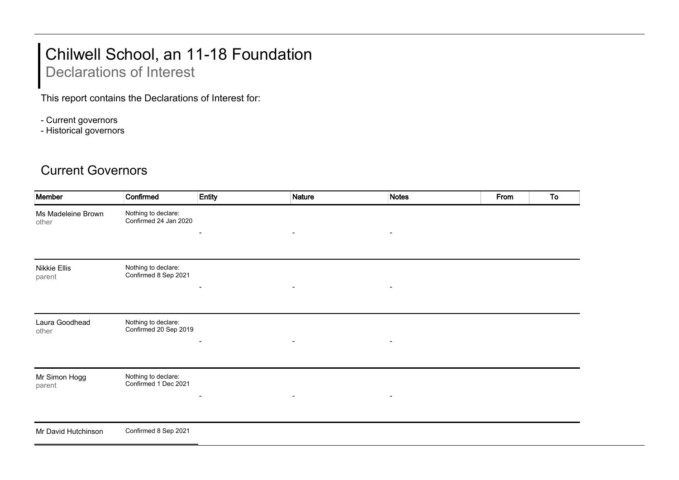## Chilwell School, an 11-18 Foundation

## Declarations of Interest

This report contains the Declarations of Interest for:

- Current governors
- Historical governors

## Current Governors

| Member                      | Confirmed                                    | Entity                   | <b>Nature</b>            | <b>Notes</b>   | From | To |
|-----------------------------|----------------------------------------------|--------------------------|--------------------------|----------------|------|----|
| Ms Madeleine Brown<br>other | Nothing to declare:<br>Confirmed 24 Jan 2020 | $\overline{\phantom{a}}$ | $\blacksquare$           | $\blacksquare$ |      |    |
|                             |                                              |                          |                          |                |      |    |
| Nikkie Ellis<br>parent      | Nothing to declare:<br>Confirmed 8 Sep 2021  |                          |                          |                |      |    |
|                             |                                              | $\overline{\phantom{a}}$ | $\overline{\phantom{a}}$ |                |      |    |
| Laura Goodhead<br>other     | Nothing to declare:<br>Confirmed 20 Sep 2019 |                          | $\blacksquare$           | $\blacksquare$ |      |    |
|                             |                                              |                          |                          |                |      |    |
| Mr Simon Hogg<br>parent     | Nothing to declare:<br>Confirmed 1 Dec 2021  |                          |                          |                |      |    |
|                             |                                              | $\overline{\phantom{a}}$ | $\blacksquare$           | $\blacksquare$ |      |    |
| Mr David Hutchinson         | Confirmed 8 Sep 2021                         |                          |                          |                |      |    |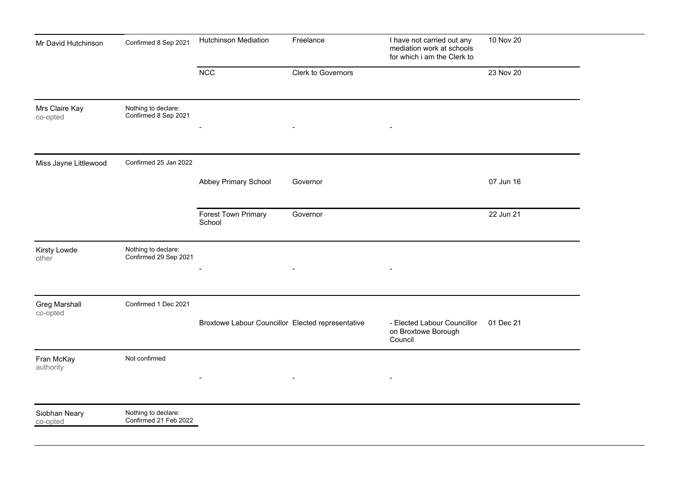| Mr David Hutchinson              | Confirmed 8 Sep 2021                         | Hutchinson Mediation                              | Freelance          | I have not carried out any<br>mediation work at schools<br>for which i am the Clerk to | 10 Nov 20 |
|----------------------------------|----------------------------------------------|---------------------------------------------------|--------------------|----------------------------------------------------------------------------------------|-----------|
|                                  |                                              | <b>NCC</b>                                        | Clerk to Governors |                                                                                        | 23 Nov 20 |
| Mrs Claire Kay<br>co-opted       | Nothing to declare:<br>Confirmed 8 Sep 2021  |                                                   |                    | $\overline{\phantom{a}}$                                                               |           |
|                                  |                                              |                                                   |                    |                                                                                        |           |
| Miss Jayne Littlewood            | Confirmed 25 Jan 2022                        |                                                   |                    |                                                                                        |           |
|                                  |                                              | Abbey Primary School                              | Governor           |                                                                                        | 07 Jun 16 |
|                                  |                                              | Forest Town Primary<br>School                     | Governor           |                                                                                        | 22 Jun 21 |
| Kirsty Lowde<br>other            | Nothing to declare:<br>Confirmed 29 Sep 2021 | $\overline{a}$                                    | $\blacksquare$     | $\blacksquare$                                                                         |           |
| <b>Greg Marshall</b><br>co-opted | Confirmed 1 Dec 2021                         |                                                   |                    |                                                                                        |           |
|                                  |                                              | Broxtowe Labour Councillor Elected representative |                    | - Elected Labour Councillor<br>on Broxtowe Borough<br>Council                          | 01 Dec 21 |
| Fran McKay<br>authority          | Not confirmed                                |                                                   |                    | $\overline{\phantom{a}}$                                                               |           |
| Siobhan Neary<br>co-opted        | Nothing to declare:<br>Confirmed 21 Feb 2022 |                                                   |                    |                                                                                        |           |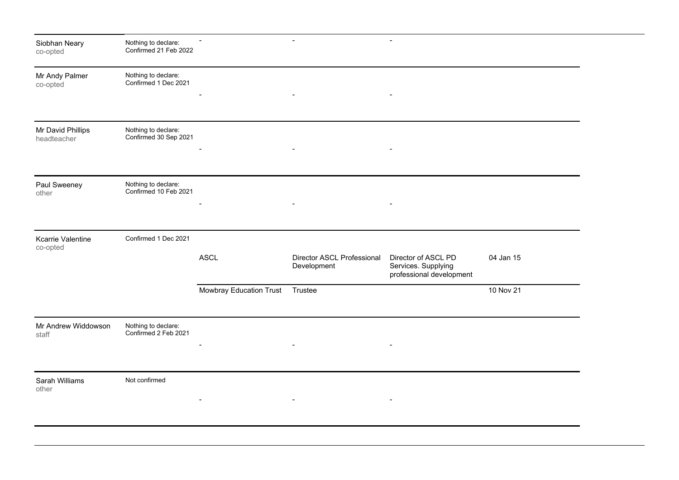| Siobhan Neary<br>co-opted            | Nothing to declare:<br>Confirmed 21 Feb 2022 |                          | $\sim$                                           | $\blacksquare$                                                         |           |
|--------------------------------------|----------------------------------------------|--------------------------|--------------------------------------------------|------------------------------------------------------------------------|-----------|
| Mr Andy Palmer<br>co-opted           | Nothing to declare:<br>Confirmed 1 Dec 2021  |                          | $\overline{\phantom{a}}$                         | $\qquad \qquad \blacksquare$                                           |           |
|                                      |                                              |                          |                                                  |                                                                        |           |
| Mr David Phillips<br>headteacher     | Nothing to declare:<br>Confirmed 30 Sep 2021 |                          | $\blacksquare$                                   | $\blacksquare$                                                         |           |
|                                      |                                              |                          |                                                  |                                                                        |           |
| Paul Sweeney<br>other                | Nothing to declare:<br>Confirmed 10 Feb 2021 |                          |                                                  |                                                                        |           |
|                                      |                                              |                          |                                                  |                                                                        |           |
| <b>Kcarrie Valentine</b><br>co-opted | Confirmed 1 Dec 2021                         |                          |                                                  |                                                                        |           |
|                                      |                                              | <b>ASCL</b>              | <b>Director ASCL Professional</b><br>Development | Director of ASCL PD<br>Services. Supplying<br>professional development | 04 Jan 15 |
|                                      |                                              | Mowbray Education Trust  | Trustee                                          |                                                                        | 10 Nov 21 |
| Mr Andrew Widdowson<br>staff         | Nothing to declare:<br>Confirmed 2 Feb 2021  |                          |                                                  |                                                                        |           |
|                                      |                                              | $\overline{\phantom{a}}$ | $\sim$                                           |                                                                        |           |
| Sarah Williams<br>other              | Not confirmed                                |                          |                                                  |                                                                        |           |
|                                      |                                              |                          | $\overline{\phantom{a}}$                         | $\overline{\phantom{a}}$                                               |           |
|                                      |                                              |                          |                                                  |                                                                        |           |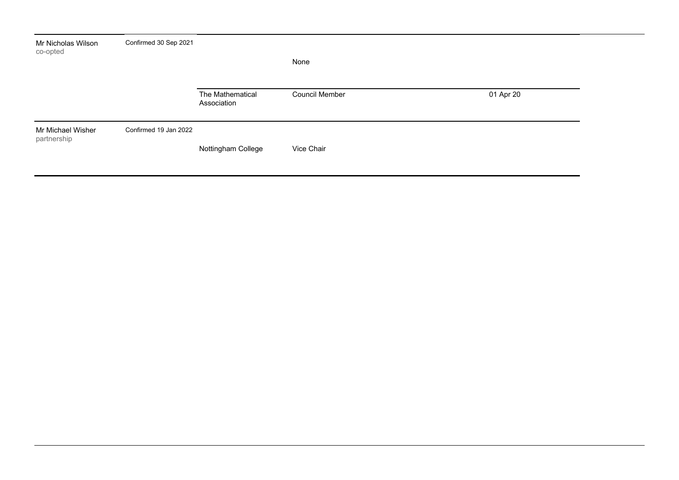| Mr Nicholas Wilson<br>co-opted   | Confirmed 30 Sep 2021 |                                 | None           |           |
|----------------------------------|-----------------------|---------------------------------|----------------|-----------|
|                                  |                       | The Mathematical<br>Association | Council Member | 01 Apr 20 |
| Mr Michael Wisher<br>partnership | Confirmed 19 Jan 2022 | Nottingham College              | Vice Chair     |           |